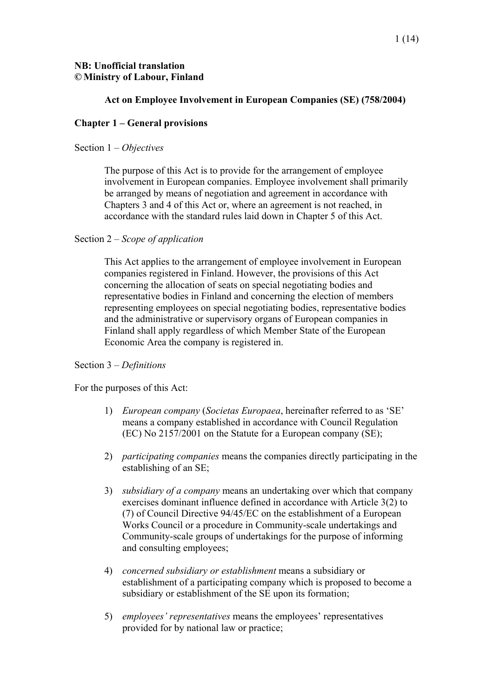# **NB: Unofficial translation © Ministry of Labour, Finland**

# **Act on Employee Involvement in European Companies (SE) (758/2004)**

# **Chapter 1 – General provisions**

# Section 1 – *Objectives*

The purpose of this Act is to provide for the arrangement of employee involvement in European companies. Employee involvement shall primarily be arranged by means of negotiation and agreement in accordance with Chapters 3 and 4 of this Act or, where an agreement is not reached, in accordance with the standard rules laid down in Chapter 5 of this Act.

# Section 2 – *Scope of application*

This Act applies to the arrangement of employee involvement in European companies registered in Finland. However, the provisions of this Act concerning the allocation of seats on special negotiating bodies and representative bodies in Finland and concerning the election of members representing employees on special negotiating bodies, representative bodies and the administrative or supervisory organs of European companies in Finland shall apply regardless of which Member State of the European Economic Area the company is registered in.

# Section 3 – *Definitions*

For the purposes of this Act:

- 1) *European company* (*Societas Europaea*, hereinafter referred to as 'SE' means a company established in accordance with Council Regulation (EC) No 2157/2001 on the Statute for a European company (SE);
- 2) *participating companies* means the companies directly participating in the establishing of an SE;
- 3) *subsidiary of a company* means an undertaking over which that company exercises dominant influence defined in accordance with Article 3(2) to (7) of Council Directive 94/45/EC on the establishment of a European Works Council or a procedure in Community-scale undertakings and Community-scale groups of undertakings for the purpose of informing and consulting employees;
- 4) *concerned subsidiary or establishment* means a subsidiary or establishment of a participating company which is proposed to become a subsidiary or establishment of the SE upon its formation;
- 5) *employees' representatives* means the employees' representatives provided for by national law or practice;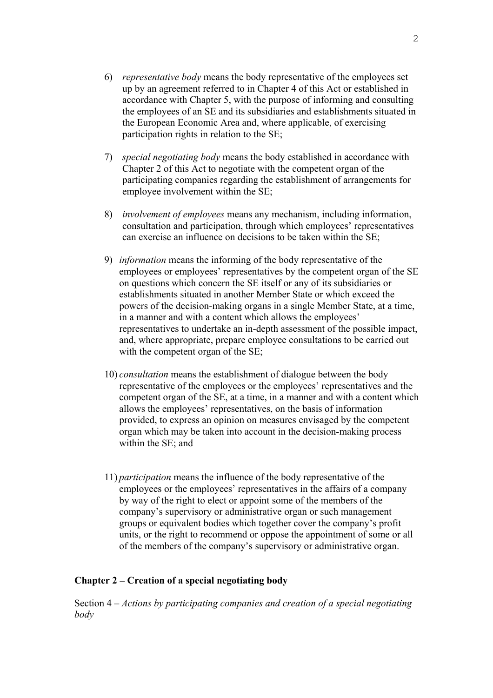- 6) *representative body* means the body representative of the employees set up by an agreement referred to in Chapter 4 of this Act or established in accordance with Chapter 5, with the purpose of informing and consulting the employees of an SE and its subsidiaries and establishments situated in the European Economic Area and, where applicable, of exercising participation rights in relation to the SE;
- 7) *special negotiating body* means the body established in accordance with Chapter 2 of this Act to negotiate with the competent organ of the participating companies regarding the establishment of arrangements for employee involvement within the SE;
- 8) *involvement of employees* means any mechanism, including information, consultation and participation, through which employees' representatives can exercise an influence on decisions to be taken within the SE;
- 9) *information* means the informing of the body representative of the employees or employees' representatives by the competent organ of the SE on questions which concern the SE itself or any of its subsidiaries or establishments situated in another Member State or which exceed the powers of the decision-making organs in a single Member State, at a time, in a manner and with a content which allows the employees' representatives to undertake an in-depth assessment of the possible impact, and, where appropriate, prepare employee consultations to be carried out with the competent organ of the SE;
- 10) *consultation* means the establishment of dialogue between the body representative of the employees or the employees' representatives and the competent organ of the SE, at a time, in a manner and with a content which allows the employees' representatives, on the basis of information provided, to express an opinion on measures envisaged by the competent organ which may be taken into account in the decision-making process within the SE; and
- 11) *participation* means the influence of the body representative of the employees or the employees' representatives in the affairs of a company by way of the right to elect or appoint some of the members of the company's supervisory or administrative organ or such management groups or equivalent bodies which together cover the company's profit units, or the right to recommend or oppose the appointment of some or all of the members of the company's supervisory or administrative organ.

### **Chapter 2 – Creation of a special negotiating body**

Section 4 – *Actions by participating companies and creation of a special negotiating body*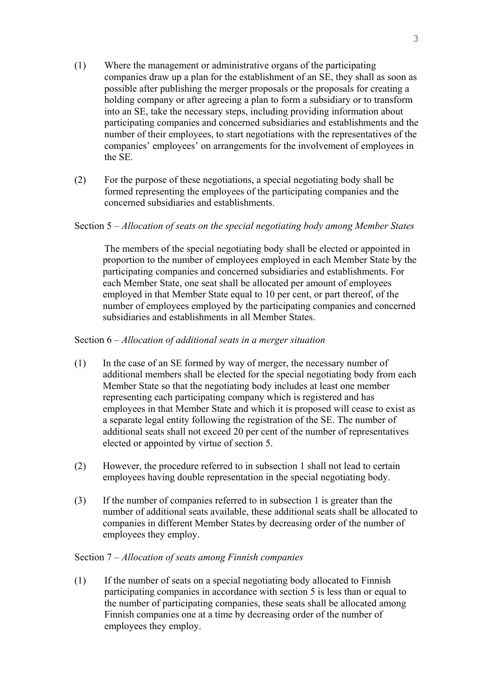- (1) Where the management or administrative organs of the participating companies draw up a plan for the establishment of an SE, they shall as soon as possible after publishing the merger proposals or the proposals for creating a holding company or after agreeing a plan to form a subsidiary or to transform into an SE, take the necessary steps, including providing information about participating companies and concerned subsidiaries and establishments and the number of their employees, to start negotiations with the representatives of the companies' employees' on arrangements for the involvement of employees in the SE.
- (2) For the purpose of these negotiations, a special negotiating body shall be formed representing the employees of the participating companies and the concerned subsidiaries and establishments.

# Section 5 – *Allocation of seats on the special negotiating body among Member States*

 The members of the special negotiating body shall be elected or appointed in proportion to the number of employees employed in each Member State by the participating companies and concerned subsidiaries and establishments. For each Member State, one seat shall be allocated per amount of employees employed in that Member State equal to 10 per cent, or part thereof, of the number of employees employed by the participating companies and concerned subsidiaries and establishments in all Member States.

# Section 6 – *Allocation of additional seats in a merger situation*

- (1) In the case of an SE formed by way of merger, the necessary number of additional members shall be elected for the special negotiating body from each Member State so that the negotiating body includes at least one member representing each participating company which is registered and has employees in that Member State and which it is proposed will cease to exist as a separate legal entity following the registration of the SE. The number of additional seats shall not exceed 20 per cent of the number of representatives elected or appointed by virtue of section 5.
- (2) However, the procedure referred to in subsection 1 shall not lead to certain employees having double representation in the special negotiating body.
- (3) If the number of companies referred to in subsection 1 is greater than the number of additional seats available, these additional seats shall be allocated to companies in different Member States by decreasing order of the number of employees they employ.

# Section 7 – *Allocation of seats among Finnish companies*

(1) If the number of seats on a special negotiating body allocated to Finnish participating companies in accordance with section 5 is less than or equal to the number of participating companies, these seats shall be allocated among Finnish companies one at a time by decreasing order of the number of employees they employ.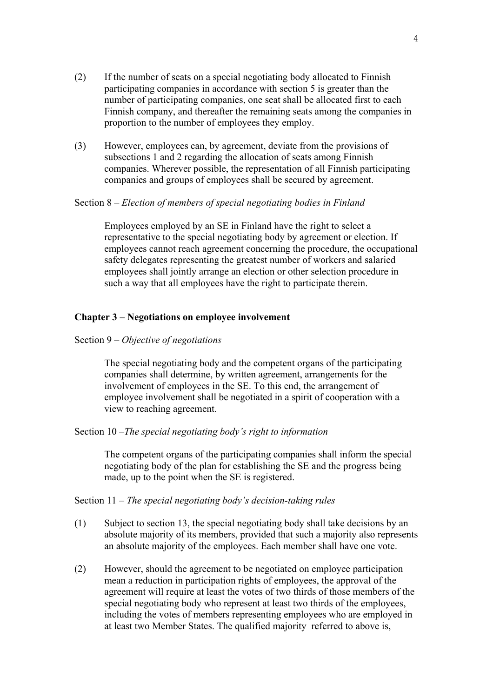- (2) If the number of seats on a special negotiating body allocated to Finnish participating companies in accordance with section 5 is greater than the number of participating companies, one seat shall be allocated first to each Finnish company, and thereafter the remaining seats among the companies in proportion to the number of employees they employ.
- (3) However, employees can, by agreement, deviate from the provisions of subsections 1 and 2 regarding the allocation of seats among Finnish companies. Wherever possible, the representation of all Finnish participating companies and groups of employees shall be secured by agreement.

### Section 8 – *Election of members of special negotiating bodies in Finland*

Employees employed by an SE in Finland have the right to select a representative to the special negotiating body by agreement or election. If employees cannot reach agreement concerning the procedure, the occupational safety delegates representing the greatest number of workers and salaried employees shall jointly arrange an election or other selection procedure in such a way that all employees have the right to participate therein.

## **Chapter 3 – Negotiations on employee involvement**

### Section 9 – *Objective of negotiations*

The special negotiating body and the competent organs of the participating companies shall determine, by written agreement, arrangements for the involvement of employees in the SE. To this end, the arrangement of employee involvement shall be negotiated in a spirit of cooperation with a view to reaching agreement.

### Section 10 –*The special negotiating body's right to information*

The competent organs of the participating companies shall inform the special negotiating body of the plan for establishing the SE and the progress being made, up to the point when the SE is registered.

### Section 11 – *The special negotiating body's decision-taking rules*

- (1) Subject to section 13, the special negotiating body shall take decisions by an absolute majority of its members, provided that such a majority also represents an absolute majority of the employees. Each member shall have one vote.
- (2) However, should the agreement to be negotiated on employee participation mean a reduction in participation rights of employees, the approval of the agreement will require at least the votes of two thirds of those members of the special negotiating body who represent at least two thirds of the employees, including the votes of members representing employees who are employed in at least two Member States. The qualified majority referred to above is,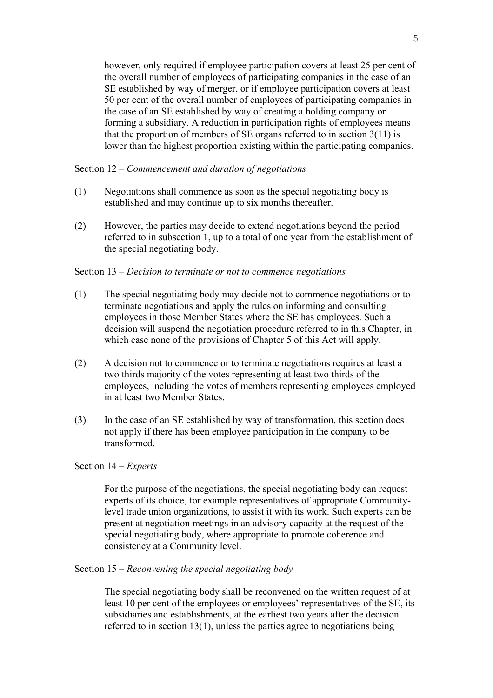however, only required if employee participation covers at least 25 per cent of the overall number of employees of participating companies in the case of an SE established by way of merger, or if employee participation covers at least 50 per cent of the overall number of employees of participating companies in the case of an SE established by way of creating a holding company or forming a subsidiary. A reduction in participation rights of employees means that the proportion of members of SE organs referred to in section  $3(11)$  is lower than the highest proportion existing within the participating companies.

Section 12 – *Commencement and duration of negotiations* 

- (1) Negotiations shall commence as soon as the special negotiating body is established and may continue up to six months thereafter.
- (2) However, the parties may decide to extend negotiations beyond the period referred to in subsection 1, up to a total of one year from the establishment of the special negotiating body.

#### Section 13 – *Decision to terminate or not to commence negotiations*

- (1) The special negotiating body may decide not to commence negotiations or to terminate negotiations and apply the rules on informing and consulting employees in those Member States where the SE has employees. Such a decision will suspend the negotiation procedure referred to in this Chapter, in which case none of the provisions of Chapter 5 of this Act will apply.
- (2) A decision not to commence or to terminate negotiations requires at least a two thirds majority of the votes representing at least two thirds of the employees, including the votes of members representing employees employed in at least two Member States.
- (3) In the case of an SE established by way of transformation, this section does not apply if there has been employee participation in the company to be transformed.

### Section 14 – *Experts*

For the purpose of the negotiations, the special negotiating body can request experts of its choice, for example representatives of appropriate Communitylevel trade union organizations, to assist it with its work. Such experts can be present at negotiation meetings in an advisory capacity at the request of the special negotiating body, where appropriate to promote coherence and consistency at a Community level.

### Section 15 – *Reconvening the special negotiating body*

The special negotiating body shall be reconvened on the written request of at least 10 per cent of the employees or employees' representatives of the SE, its subsidiaries and establishments, at the earliest two years after the decision referred to in section 13(1), unless the parties agree to negotiations being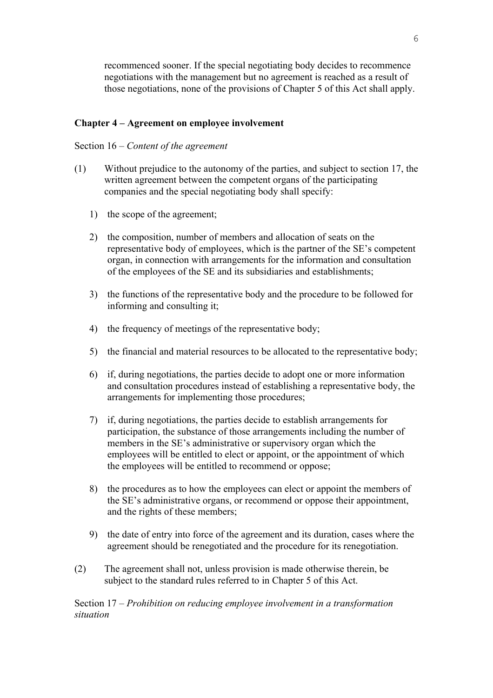recommenced sooner. If the special negotiating body decides to recommence negotiations with the management but no agreement is reached as a result of those negotiations, none of the provisions of Chapter 5 of this Act shall apply.

# **Chapter 4 – Agreement on employee involvement**

## Section 16 – *Content of the agreement*

- (1) Without prejudice to the autonomy of the parties, and subject to section 17, the written agreement between the competent organs of the participating companies and the special negotiating body shall specify:
	- 1) the scope of the agreement;
	- 2) the composition, number of members and allocation of seats on the representative body of employees, which is the partner of the SE's competent organ, in connection with arrangements for the information and consultation of the employees of the SE and its subsidiaries and establishments;
	- 3) the functions of the representative body and the procedure to be followed for informing and consulting it;
	- 4) the frequency of meetings of the representative body;
	- 5) the financial and material resources to be allocated to the representative body;
	- 6) if, during negotiations, the parties decide to adopt one or more information and consultation procedures instead of establishing a representative body, the arrangements for implementing those procedures;
	- 7) if, during negotiations, the parties decide to establish arrangements for participation, the substance of those arrangements including the number of members in the SE's administrative or supervisory organ which the employees will be entitled to elect or appoint, or the appointment of which the employees will be entitled to recommend or oppose;
	- 8) the procedures as to how the employees can elect or appoint the members of the SE's administrative organs, or recommend or oppose their appointment, and the rights of these members;
	- 9) the date of entry into force of the agreement and its duration, cases where the agreement should be renegotiated and the procedure for its renegotiation.
- (2) The agreement shall not, unless provision is made otherwise therein, be subject to the standard rules referred to in Chapter 5 of this Act.

Section 17 – *Prohibition on reducing employee involvement in a transformation situation*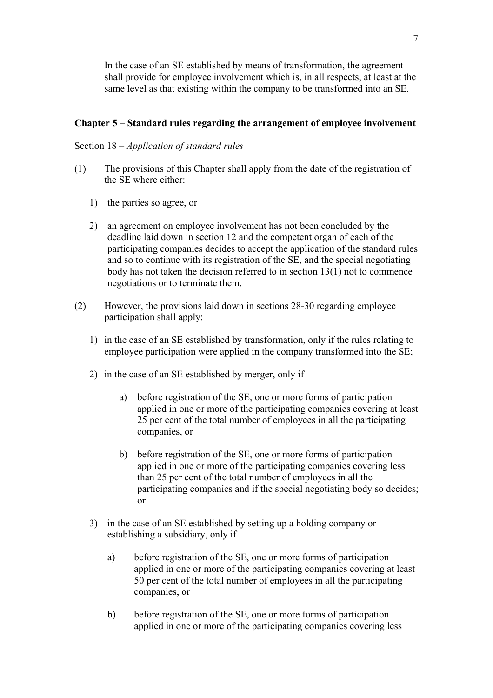In the case of an SE established by means of transformation, the agreement shall provide for employee involvement which is, in all respects, at least at the same level as that existing within the company to be transformed into an SE.

# **Chapter 5 – Standard rules regarding the arrangement of employee involvement**

# Section 18 – *Application of standard rules*

- (1) The provisions of this Chapter shall apply from the date of the registration of the SE where either:
	- 1) the parties so agree, or
	- 2) an agreement on employee involvement has not been concluded by the deadline laid down in section 12 and the competent organ of each of the participating companies decides to accept the application of the standard rules and so to continue with its registration of the SE, and the special negotiating body has not taken the decision referred to in section 13(1) not to commence negotiations or to terminate them.
- (2) However, the provisions laid down in sections 28-30 regarding employee participation shall apply:
	- 1) in the case of an SE established by transformation, only if the rules relating to employee participation were applied in the company transformed into the SE;
	- 2) in the case of an SE established by merger, only if
		- a) before registration of the SE, one or more forms of participation applied in one or more of the participating companies covering at least 25 per cent of the total number of employees in all the participating companies, or
		- b) before registration of the SE, one or more forms of participation applied in one or more of the participating companies covering less than 25 per cent of the total number of employees in all the participating companies and if the special negotiating body so decides; or
	- 3) in the case of an SE established by setting up a holding company or establishing a subsidiary, only if
		- a) before registration of the SE, one or more forms of participation applied in one or more of the participating companies covering at least 50 per cent of the total number of employees in all the participating companies, or
		- b) before registration of the SE, one or more forms of participation applied in one or more of the participating companies covering less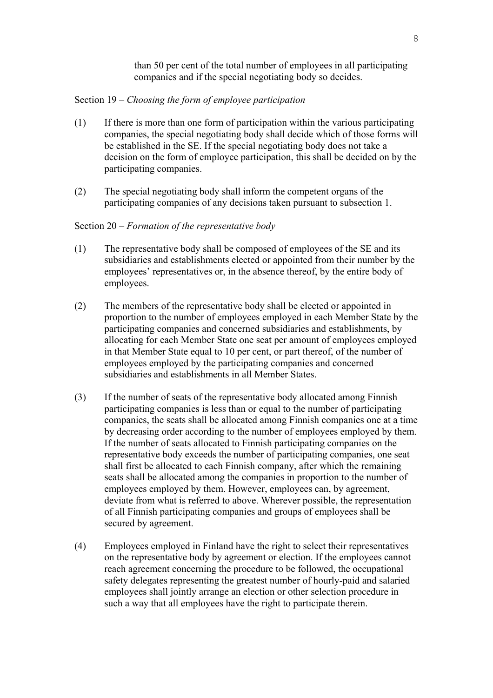than 50 per cent of the total number of employees in all participating companies and if the special negotiating body so decides.

### Section 19 – *Choosing the form of employee participation*

- (1) If there is more than one form of participation within the various participating companies, the special negotiating body shall decide which of those forms will be established in the SE. If the special negotiating body does not take a decision on the form of employee participation, this shall be decided on by the participating companies.
- (2) The special negotiating body shall inform the competent organs of the participating companies of any decisions taken pursuant to subsection 1.

#### Section 20 – *Formation of the representative body*

- (1) The representative body shall be composed of employees of the SE and its subsidiaries and establishments elected or appointed from their number by the employees' representatives or, in the absence thereof, by the entire body of employees.
- (2) The members of the representative body shall be elected or appointed in proportion to the number of employees employed in each Member State by the participating companies and concerned subsidiaries and establishments, by allocating for each Member State one seat per amount of employees employed in that Member State equal to 10 per cent, or part thereof, of the number of employees employed by the participating companies and concerned subsidiaries and establishments in all Member States.
- (3) If the number of seats of the representative body allocated among Finnish participating companies is less than or equal to the number of participating companies, the seats shall be allocated among Finnish companies one at a time by decreasing order according to the number of employees employed by them. If the number of seats allocated to Finnish participating companies on the representative body exceeds the number of participating companies, one seat shall first be allocated to each Finnish company, after which the remaining seats shall be allocated among the companies in proportion to the number of employees employed by them. However, employees can, by agreement, deviate from what is referred to above. Wherever possible, the representation of all Finnish participating companies and groups of employees shall be secured by agreement.
- (4) Employees employed in Finland have the right to select their representatives on the representative body by agreement or election. If the employees cannot reach agreement concerning the procedure to be followed, the occupational safety delegates representing the greatest number of hourly-paid and salaried employees shall jointly arrange an election or other selection procedure in such a way that all employees have the right to participate therein.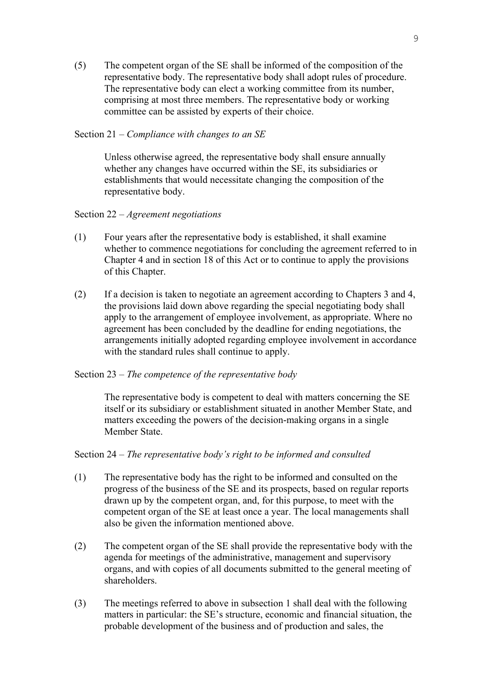(5) The competent organ of the SE shall be informed of the composition of the representative body. The representative body shall adopt rules of procedure. The representative body can elect a working committee from its number. comprising at most three members. The representative body or working committee can be assisted by experts of their choice.

## Section 21 – *Compliance with changes to an SE*

Unless otherwise agreed, the representative body shall ensure annually whether any changes have occurred within the SE, its subsidiaries or establishments that would necessitate changing the composition of the representative body.

## Section 22 – *Agreement negotiations*

- (1) Four years after the representative body is established, it shall examine whether to commence negotiations for concluding the agreement referred to in Chapter 4 and in section 18 of this Act or to continue to apply the provisions of this Chapter.
- (2) If a decision is taken to negotiate an agreement according to Chapters 3 and 4, the provisions laid down above regarding the special negotiating body shall apply to the arrangement of employee involvement, as appropriate. Where no agreement has been concluded by the deadline for ending negotiations, the arrangements initially adopted regarding employee involvement in accordance with the standard rules shall continue to apply.

# Section 23 – *The competence of the representative body*

 The representative body is competent to deal with matters concerning the SE itself or its subsidiary or establishment situated in another Member State, and matters exceeding the powers of the decision-making organs in a single Member State.

### Section 24 – *The representative body's right to be informed and consulted*

- (1) The representative body has the right to be informed and consulted on the progress of the business of the SE and its prospects, based on regular reports drawn up by the competent organ, and, for this purpose, to meet with the competent organ of the SE at least once a year. The local managements shall also be given the information mentioned above.
- (2) The competent organ of the SE shall provide the representative body with the agenda for meetings of the administrative, management and supervisory organs, and with copies of all documents submitted to the general meeting of shareholders.
- (3) The meetings referred to above in subsection 1 shall deal with the following matters in particular: the SE's structure, economic and financial situation, the probable development of the business and of production and sales, the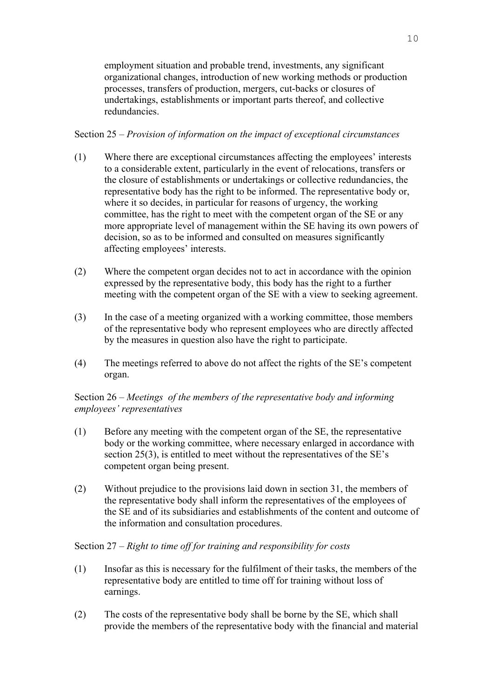employment situation and probable trend, investments, any significant organizational changes, introduction of new working methods or production processes, transfers of production, mergers, cut-backs or closures of undertakings, establishments or important parts thereof, and collective redundancies.

# Section 25 – *Provision of information on the impact of exceptional circumstances*

- (1) Where there are exceptional circumstances affecting the employees' interests to a considerable extent, particularly in the event of relocations, transfers or the closure of establishments or undertakings or collective redundancies, the representative body has the right to be informed. The representative body or, where it so decides, in particular for reasons of urgency, the working committee, has the right to meet with the competent organ of the SE or any more appropriate level of management within the SE having its own powers of decision, so as to be informed and consulted on measures significantly affecting employees' interests.
- (2) Where the competent organ decides not to act in accordance with the opinion expressed by the representative body, this body has the right to a further meeting with the competent organ of the SE with a view to seeking agreement.
- (3) In the case of a meeting organized with a working committee, those members of the representative body who represent employees who are directly affected by the measures in question also have the right to participate.
- (4) The meetings referred to above do not affect the rights of the SE's competent organ.

# Section 26 – *Meetings of the members of the representative body and informing employees' representatives*

- (1) Before any meeting with the competent organ of the SE, the representative body or the working committee, where necessary enlarged in accordance with section 25(3), is entitled to meet without the representatives of the SE's competent organ being present.
- (2) Without prejudice to the provisions laid down in section 31, the members of the representative body shall inform the representatives of the employees of the SE and of its subsidiaries and establishments of the content and outcome of the information and consultation procedures.

# Section 27 – *Right to time off for training and responsibility for costs*

- (1) Insofar as this is necessary for the fulfilment of their tasks, the members of the representative body are entitled to time off for training without loss of earnings.
- (2) The costs of the representative body shall be borne by the SE, which shall provide the members of the representative body with the financial and material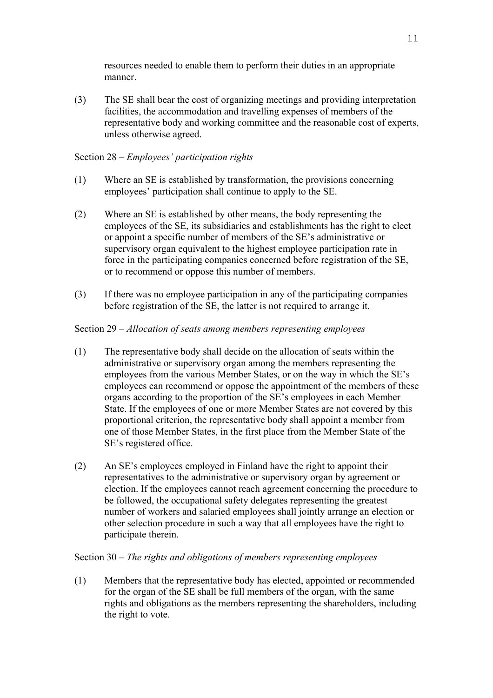resources needed to enable them to perform their duties in an appropriate manner.

(3) The SE shall bear the cost of organizing meetings and providing interpretation facilities, the accommodation and travelling expenses of members of the representative body and working committee and the reasonable cost of experts, unless otherwise agreed.

# Section 28 – *Employees' participation rights*

- (1) Where an SE is established by transformation, the provisions concerning employees' participation shall continue to apply to the SE.
- (2) Where an SE is established by other means, the body representing the employees of the SE, its subsidiaries and establishments has the right to elect or appoint a specific number of members of the SE's administrative or supervisory organ equivalent to the highest employee participation rate in force in the participating companies concerned before registration of the SE, or to recommend or oppose this number of members.
- (3) If there was no employee participation in any of the participating companies before registration of the SE, the latter is not required to arrange it.

# Section 29 – *Allocation of seats among members representing employees*

- (1) The representative body shall decide on the allocation of seats within the administrative or supervisory organ among the members representing the employees from the various Member States, or on the way in which the SE's employees can recommend or oppose the appointment of the members of these organs according to the proportion of the SE's employees in each Member State. If the employees of one or more Member States are not covered by this proportional criterion, the representative body shall appoint a member from one of those Member States, in the first place from the Member State of the SE's registered office.
- (2) An SE's employees employed in Finland have the right to appoint their representatives to the administrative or supervisory organ by agreement or election. If the employees cannot reach agreement concerning the procedure to be followed, the occupational safety delegates representing the greatest number of workers and salaried employees shall jointly arrange an election or other selection procedure in such a way that all employees have the right to participate therein.

# Section 30 – *The rights and obligations of members representing employees*

(1) Members that the representative body has elected, appointed or recommended for the organ of the SE shall be full members of the organ, with the same rights and obligations as the members representing the shareholders, including the right to vote.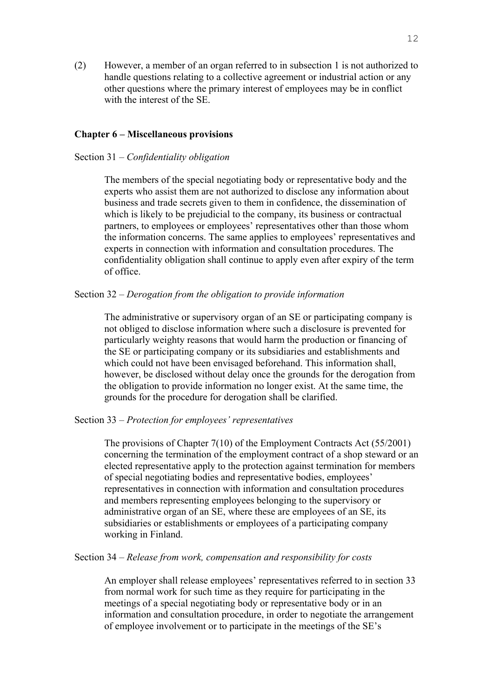(2) However, a member of an organ referred to in subsection 1 is not authorized to handle questions relating to a collective agreement or industrial action or any other questions where the primary interest of employees may be in conflict with the interest of the SE.

## **Chapter 6 – Miscellaneous provisions**

### Section 31 – *Confidentiality obligation*

The members of the special negotiating body or representative body and the experts who assist them are not authorized to disclose any information about business and trade secrets given to them in confidence, the dissemination of which is likely to be prejudicial to the company, its business or contractual partners, to employees or employees' representatives other than those whom the information concerns. The same applies to employees' representatives and experts in connection with information and consultation procedures. The confidentiality obligation shall continue to apply even after expiry of the term of office.

# Section 32 – *Derogation from the obligation to provide information*

 The administrative or supervisory organ of an SE or participating company is not obliged to disclose information where such a disclosure is prevented for particularly weighty reasons that would harm the production or financing of the SE or participating company or its subsidiaries and establishments and which could not have been envisaged beforehand. This information shall, however, be disclosed without delay once the grounds for the derogation from the obligation to provide information no longer exist. At the same time, the grounds for the procedure for derogation shall be clarified.

Section 33 – *Protection for employees' representatives* 

 The provisions of Chapter 7(10) of the Employment Contracts Act (55/2001) concerning the termination of the employment contract of a shop steward or an elected representative apply to the protection against termination for members of special negotiating bodies and representative bodies, employees' representatives in connection with information and consultation procedures and members representing employees belonging to the supervisory or administrative organ of an SE, where these are employees of an SE, its subsidiaries or establishments or employees of a participating company working in Finland.

Section 34 – *Release from work, compensation and responsibility for costs* 

An employer shall release employees' representatives referred to in section 33 from normal work for such time as they require for participating in the meetings of a special negotiating body or representative body or in an information and consultation procedure, in order to negotiate the arrangement of employee involvement or to participate in the meetings of the SE's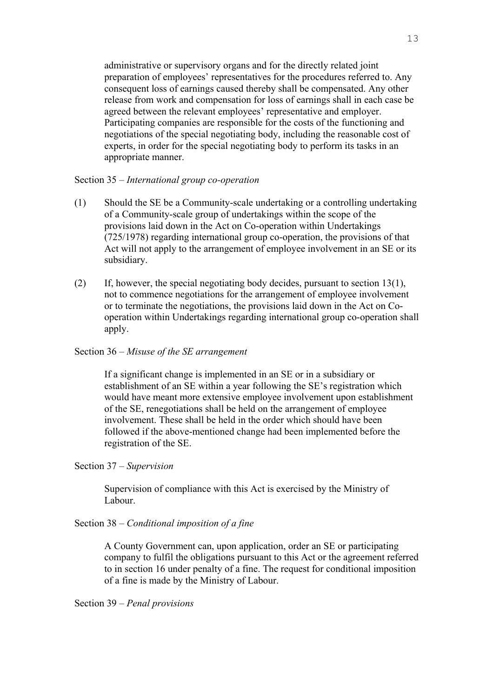administrative or supervisory organs and for the directly related joint preparation of employees' representatives for the procedures referred to. Any consequent loss of earnings caused thereby shall be compensated. Any other release from work and compensation for loss of earnings shall in each case be agreed between the relevant employees' representative and employer. Participating companies are responsible for the costs of the functioning and negotiations of the special negotiating body, including the reasonable cost of experts, in order for the special negotiating body to perform its tasks in an appropriate manner.

## Section 35 – *International group co-operation*

- (1) Should the SE be a Community-scale undertaking or a controlling undertaking of a Community-scale group of undertakings within the scope of the provisions laid down in the Act on Co-operation within Undertakings (725/1978) regarding international group co-operation, the provisions of that Act will not apply to the arrangement of employee involvement in an SE or its subsidiary.
- (2) If, however, the special negotiating body decides, pursuant to section 13(1), not to commence negotiations for the arrangement of employee involvement or to terminate the negotiations, the provisions laid down in the Act on Cooperation within Undertakings regarding international group co-operation shall apply.

# Section 36 – *Misuse of the SE arrangement*

If a significant change is implemented in an SE or in a subsidiary or establishment of an SE within a year following the SE's registration which would have meant more extensive employee involvement upon establishment of the SE, renegotiations shall be held on the arrangement of employee involvement. These shall be held in the order which should have been followed if the above-mentioned change had been implemented before the registration of the SE.

## Section 37 – *Supervision*

Supervision of compliance with this Act is exercised by the Ministry of Labour.

Section 38 – *Conditional imposition of a fine* 

 A County Government can, upon application, order an SE or participating company to fulfil the obligations pursuant to this Act or the agreement referred to in section 16 under penalty of a fine. The request for conditional imposition of a fine is made by the Ministry of Labour.

Section 39 – *Penal provisions*